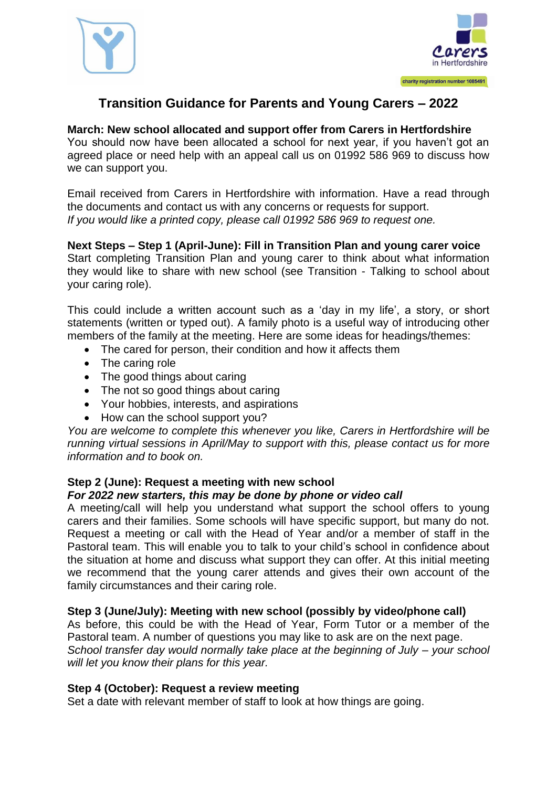



## **Transition Guidance for Parents and Young Carers – 2022**

#### **March: New school allocated and support offer from Carers in Hertfordshire**

You should now have been allocated a school for next year, if you haven't got an agreed place or need help with an appeal call us on 01992 586 969 to discuss how we can support you.

Email received from Carers in Hertfordshire with information. Have a read through the documents and contact us with any concerns or requests for support. *If you would like a printed copy, please call 01992 586 969 to request one.*

#### **Next Steps – Step 1 (April-June): Fill in Transition Plan and young carer voice** Start completing Transition Plan and young carer to think about what information they would like to share with new school (see Transition - Talking to school about your caring role).

This could include a written account such as a 'day in my life', a story, or short statements (written or typed out). A family photo is a useful way of introducing other members of the family at the meeting. Here are some ideas for headings/themes:

- The cared for person, their condition and how it affects them
- The caring role
- The good things about caring
- The not so good things about caring
- Your hobbies, interests, and aspirations
- How can the school support you?

*You are welcome to complete this whenever you like, Carers in Hertfordshire will be running virtual sessions in April/May to support with this, please contact us for more information and to book on.*

### **Step 2 (June): Request a meeting with new school**

#### *For 2022 new starters, this may be done by phone or video call*

A meeting/call will help you understand what support the school offers to young carers and their families. Some schools will have specific support, but many do not. Request a meeting or call with the Head of Year and/or a member of staff in the Pastoral team. This will enable you to talk to your child's school in confidence about the situation at home and discuss what support they can offer. At this initial meeting we recommend that the young carer attends and gives their own account of the family circumstances and their caring role.

#### **Step 3 (June/July): Meeting with new school (possibly by video/phone call)**

As before, this could be with the Head of Year, Form Tutor or a member of the Pastoral team. A number of questions you may like to ask are on the next page. *School transfer day would normally take place at the beginning of July – your school will let you know their plans for this year.*

#### **Step 4 (October): Request a review meeting**

Set a date with relevant member of staff to look at how things are going.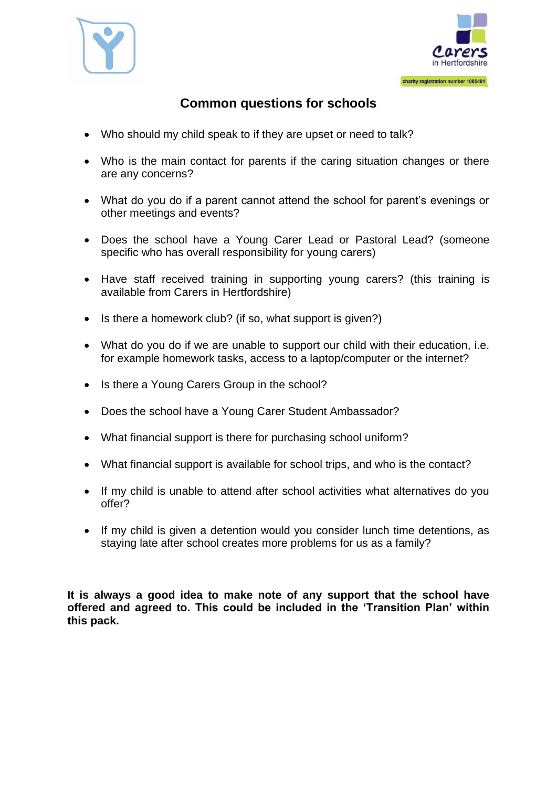



# **Common questions for schools**

- Who should my child speak to if they are upset or need to talk?
- Who is the main contact for parents if the caring situation changes or there are any concerns?
- What do you do if a parent cannot attend the school for parent's evenings or other meetings and events?
- Does the school have a Young Carer Lead or Pastoral Lead? (someone specific who has overall responsibility for young carers)
- Have staff received training in supporting young carers? (this training is available from Carers in Hertfordshire)
- Is there a homework club? (if so, what support is given?)
- What do you do if we are unable to support our child with their education, i.e. for example homework tasks, access to a laptop/computer or the internet?
- Is there a Young Carers Group in the school?
- Does the school have a Young Carer Student Ambassador?
- What financial support is there for purchasing school uniform?
- What financial support is available for school trips, and who is the contact?
- If my child is unable to attend after school activities what alternatives do you offer?
- If my child is given a detention would you consider lunch time detentions, as staying late after school creates more problems for us as a family?

**It is always a good idea to make note of any support that the school have offered and agreed to. This could be included in the 'Transition Plan' within this pack.**